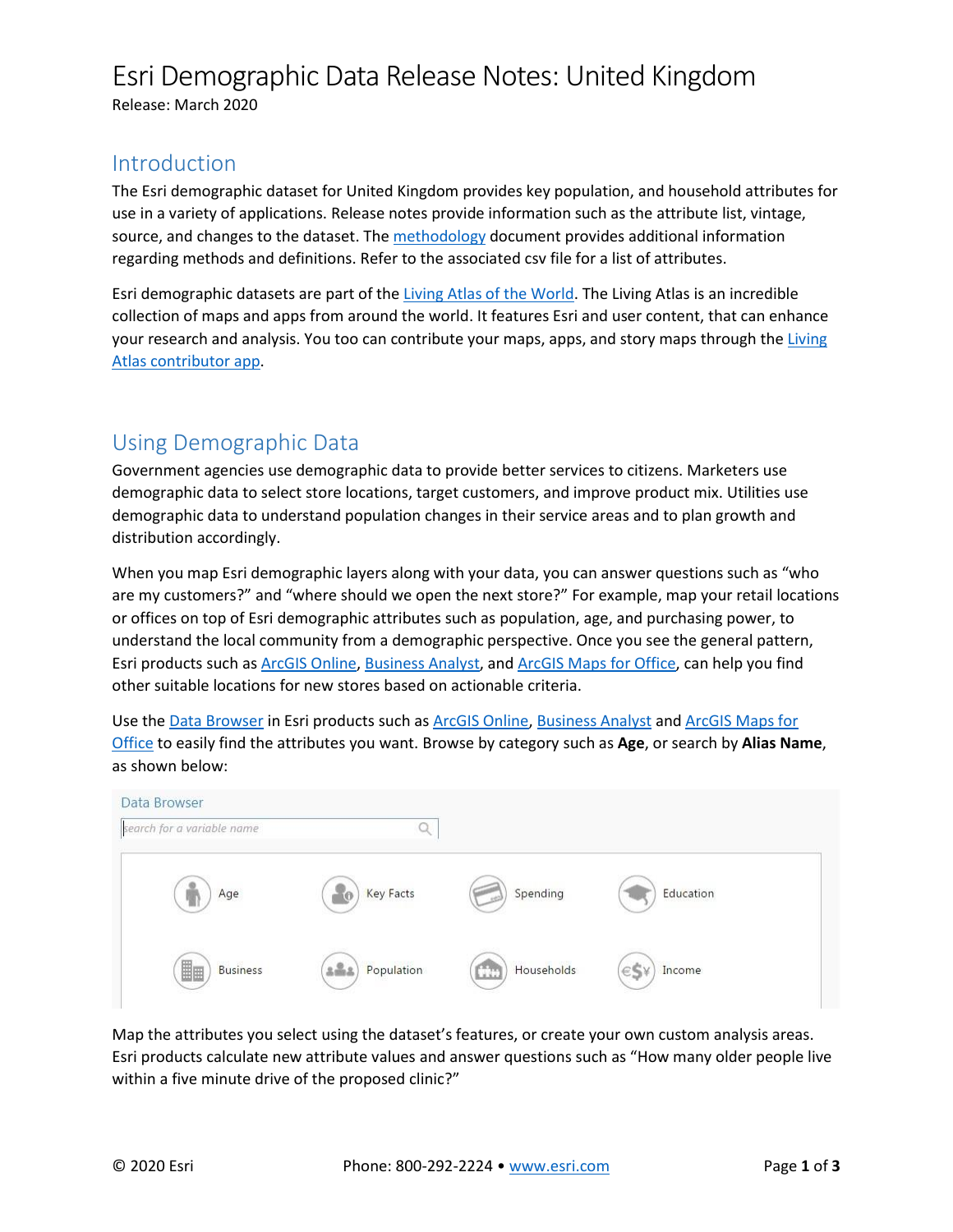# Esri Demographic Data Release Notes: United Kingdom

Release: March 2020

### Introduction

The Esri demographic dataset for United Kingdom provides key population, and household attributes for use in a variety of applications. Release notes provide information such as the attribute list, vintage, source, and changes to the dataset. Th[e methodology](http://links.esri.com/dem/mbr_methodology) document provides additional information regarding methods and definitions. Refer to the associated csv file for a list of attributes.

Esri demographic datasets are part of the [Living Atlas of the World.](http://doc.arcgis.com/en/living-atlas/#s=0&n=30&d=1&col=&fs=0&fn=30&npp=30&subCat=0) The Living Atlas is an incredible collection of maps and apps from around the world. It features Esri and user content, that can enhance your research and analysis. You too can contribute your maps, apps, and story maps through the Living [Atlas contributor app.](http://livingatlas.arcgis.com/contribute/)

## Using Demographic Data

Government agencies use demographic data to provide better services to citizens. Marketers use demographic data to select store locations, target customers, and improve product mix. Utilities use demographic data to understand population changes in their service areas and to plan growth and distribution accordingly.

When you map Esri demographic layers along with your data, you can answer questions such as "who are my customers?" and "where should we open the next store?" For example, map your retail locations or offices on top of Esri demographic attributes such as population, age, and purchasing power, to understand the local community from a demographic perspective. Once you see the general pattern, Esri products such a[s ArcGIS Online,](http://www.arcgis.com/features/) [Business Analyst,](http://www.esri.com/software/businessanalyst) and [ArcGIS Maps](http://doc.arcgis.com/en/maps-for-office/) for Office, can help you find other suitable locations for new stores based on actionable criteria.

Use th[e Data Browser](http://doc.arcgis.com/en/esri-demographics/) in Esri products such as [ArcGIS Online,](http://www.arcgis.com/features/) [Business Analyst](http://www.esri.com/software/businessanalyst) and ArcGIS [Maps for](http://www.esri.com/software/maps-for-office)  [Office](http://www.esri.com/software/maps-for-office) to easily find the attributes you want. Browse by category such as **Age**, or search by **Alias Name**, as shown below:

| Data Browser<br>search for a variable name |                        |                    |               |  |
|--------------------------------------------|------------------------|--------------------|---------------|--|
| Age                                        | <b>Key Facts</b><br>ίn | Spending           | Education     |  |
| H <sub>H</sub><br><b>Business</b>          | Population<br>$2 - 2$  | Households<br>City | Income<br>eSY |  |

Map the attributes you select using the dataset's features, or create your own custom analysis areas. Esri products calculate new attribute values and answer questions such as "How many older people live within a five minute drive of the proposed clinic?"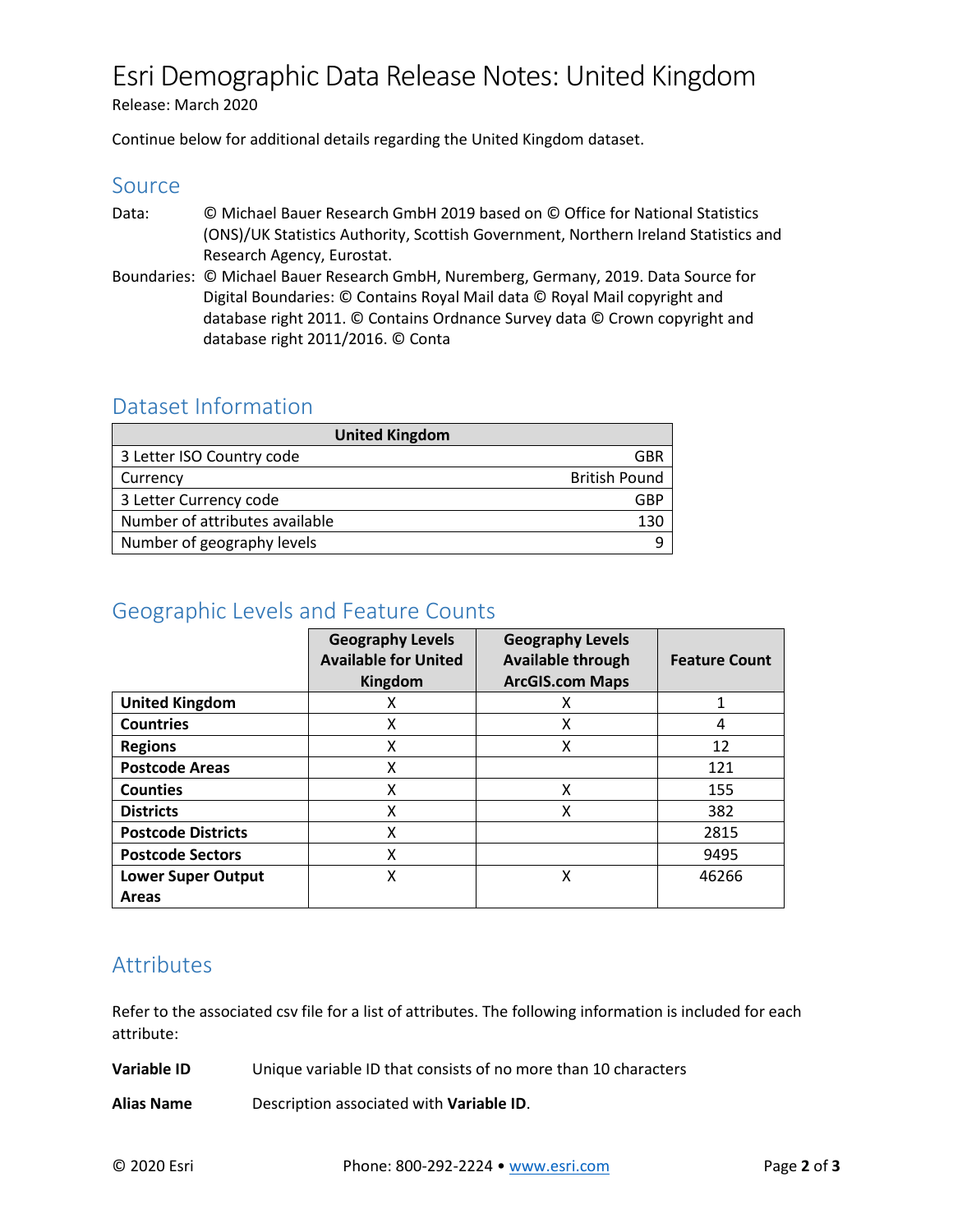## Esri Demographic Data Release Notes: United Kingdom

Release: March 2020

Continue below for additional details regarding the United Kingdom dataset.

#### Source

- Data: © Michael Bauer Research GmbH 2019 based on © Office for National Statistics (ONS)/UK Statistics Authority, Scottish Government, Northern Ireland Statistics and Research Agency, Eurostat.
- Boundaries: © Michael Bauer Research GmbH, Nuremberg, Germany, 2019. Data Source for Digital Boundaries: © Contains Royal Mail data © Royal Mail copyright and database right 2011. © Contains Ordnance Survey data © Crown copyright and database right 2011/2016. © Conta

#### Dataset Information

| <b>United Kingdom</b>          |                      |  |
|--------------------------------|----------------------|--|
| 3 Letter ISO Country code      | GBP                  |  |
| Currency                       | <b>British Pound</b> |  |
| 3 Letter Currency code         | GRP                  |  |
| Number of attributes available | 130                  |  |
| Number of geography levels     |                      |  |

### Geographic Levels and Feature Counts

|                                           | <b>Geography Levels</b><br><b>Available for United</b><br>Kingdom | <b>Geography Levels</b><br><b>Available through</b><br><b>ArcGIS.com Maps</b> | <b>Feature Count</b> |
|-------------------------------------------|-------------------------------------------------------------------|-------------------------------------------------------------------------------|----------------------|
| <b>United Kingdom</b>                     | x                                                                 | х                                                                             | 1                    |
| <b>Countries</b>                          | X                                                                 | X                                                                             | 4                    |
| <b>Regions</b>                            | X                                                                 | х                                                                             | 12                   |
| <b>Postcode Areas</b>                     | X                                                                 |                                                                               | 121                  |
| <b>Counties</b>                           | X                                                                 | X                                                                             | 155                  |
| <b>Districts</b>                          | X                                                                 | X                                                                             | 382                  |
| <b>Postcode Districts</b>                 | X                                                                 |                                                                               | 2815                 |
| <b>Postcode Sectors</b>                   | X                                                                 |                                                                               | 9495                 |
| <b>Lower Super Output</b><br><b>Areas</b> | X                                                                 | х                                                                             | 46266                |

## Attributes

Refer to the associated csv file for a list of attributes. The following information is included for each attribute:

**Variable ID** Unique variable ID that consists of no more than 10 characters

**Alias Name** Description associated with **Variable ID**.